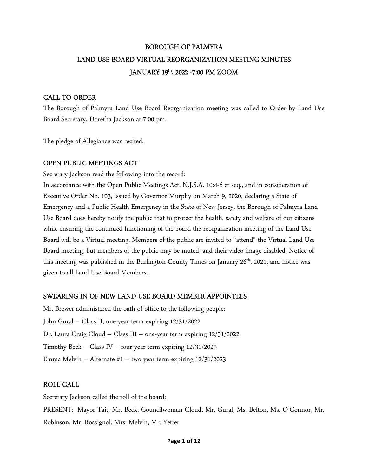# BOROUGH OF PALMYRA LAND USE BOARD VIRTUAL REORGANIZATION MEETING MINUTES JANUARY 19th, 2022 -7:00 PM ZOOM

### CALL TO ORDER

The Borough of Palmyra Land Use Board Reorganization meeting was called to Order by Land Use Board Secretary, Doretha Jackson at 7:00 pm.

The pledge of Allegiance was recited.

## OPEN PUBLIC MEETINGS ACT

Secretary Jackson read the following into the record:

In accordance with the Open Public Meetings Act, N.J.S.A. 10:4-6 et seq., and in consideration of Executive Order No. 103, issued by Governor Murphy on March 9, 2020, declaring a State of Emergency and a Public Health Emergency in the State of New Jersey, the Borough of Palmyra Land Use Board does hereby notify the public that to protect the health, safety and welfare of our citizens while ensuring the continued functioning of the board the reorganization meeting of the Land Use Board will be a Virtual meeting. Members of the public are invited to "attend" the Virtual Land Use Board meeting, but members of the public may be muted, and their video image disabled. Notice of this meeting was published in the Burlington County Times on January 26<sup>th</sup>, 2021, and notice was given to all Land Use Board Members.

## SWEARING IN OF NEW LAND USE BOARD MEMBER APPOINTEES

Mr. Brewer administered the oath of office to the following people: John Gural – Class II, one-year term expiring 12/31/2022 Dr. Laura Craig Cloud – Class III – one-year term expiring 12/31/2022 Timothy Beck – Class IV – four-year term expiring 12/31/2025 Emma Melvin – Alternate #1 – two-year term expiring 12/31/2023

## ROLL CALL

Secretary Jackson called the roll of the board: PRESENT: Mayor Tait, Mr. Beck, Councilwoman Cloud, Mr. Gural, Ms. Belton, Ms. O'Connor, Mr. Robinson, Mr. Rossignol, Mrs. Melvin, Mr. Yetter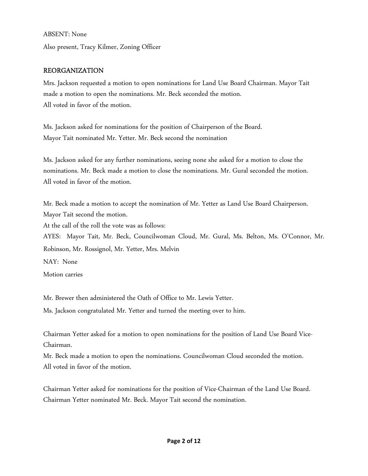ABSENT: None

Also present, Tracy Kilmer, Zoning Officer

## REORGANIZATION

Mrs. Jackson requested a motion to open nominations for Land Use Board Chairman. Mayor Tait made a motion to open the nominations. Mr. Beck seconded the motion. All voted in favor of the motion.

Ms. Jackson asked for nominations for the position of Chairperson of the Board. Mayor Tait nominated Mr. Yetter. Mr. Beck second the nomination

Ms. Jackson asked for any further nominations, seeing none she asked for a motion to close the nominations. Mr. Beck made a motion to close the nominations. Mr. Gural seconded the motion. All voted in favor of the motion.

Mr. Beck made a motion to accept the nomination of Mr. Yetter as Land Use Board Chairperson. Mayor Tait second the motion. At the call of the roll the vote was as follows: AYES: Mayor Tait, Mr. Beck, Councilwoman Cloud, Mr. Gural, Ms. Belton, Ms. O'Connor, Mr. Robinson, Mr. Rossignol, Mr. Yetter, Mrs. Melvin NAY: None Motion carries

Mr. Brewer then administered the Oath of Office to Mr. Lewis Yetter.

Ms. Jackson congratulated Mr. Yetter and turned the meeting over to him.

Chairman Yetter asked for a motion to open nominations for the position of Land Use Board Vice-Chairman.

Mr. Beck made a motion to open the nominations. Councilwoman Cloud seconded the motion. All voted in favor of the motion.

Chairman Yetter asked for nominations for the position of Vice-Chairman of the Land Use Board. Chairman Yetter nominated Mr. Beck. Mayor Tait second the nomination.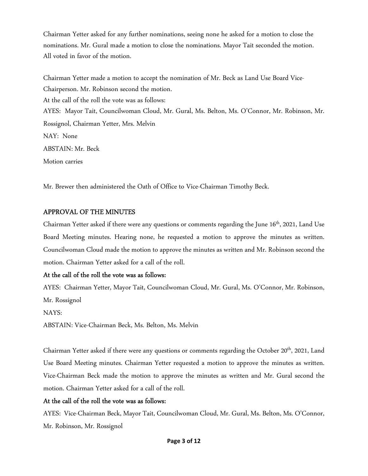Chairman Yetter asked for any further nominations, seeing none he asked for a motion to close the nominations. Mr. Gural made a motion to close the nominations. Mayor Tait seconded the motion. All voted in favor of the motion.

Chairman Yetter made a motion to accept the nomination of Mr. Beck as Land Use Board Vice-Chairperson. Mr. Robinson second the motion. At the call of the roll the vote was as follows: AYES: Mayor Tait, Councilwoman Cloud, Mr. Gural, Ms. Belton, Ms. O'Connor, Mr. Robinson, Mr. Rossignol, Chairman Yetter, Mrs. Melvin NAY: None ABSTAIN: Mr. Beck Motion carries

Mr. Brewer then administered the Oath of Office to Vice-Chairman Timothy Beck.

## APPROVAL OF THE MINUTES

Chairman Yetter asked if there were any questions or comments regarding the June 16<sup>th</sup>, 2021, Land Use Board Meeting minutes. Hearing none, he requested a motion to approve the minutes as written. Councilwoman Cloud made the motion to approve the minutes as written and Mr. Robinson second the motion. Chairman Yetter asked for a call of the roll.

### At the call of the roll the vote was as follows:

AYES: Chairman Yetter, Mayor Tait, Councilwoman Cloud, Mr. Gural, Ms. O'Connor, Mr. Robinson, Mr. Rossignol

NAYS:

ABSTAIN: Vice-Chairman Beck, Ms. Belton, Ms. Melvin

Chairman Yetter asked if there were any questions or comments regarding the October 20<sup>th</sup>, 2021, Land Use Board Meeting minutes. Chairman Yetter requested a motion to approve the minutes as written. Vice-Chairman Beck made the motion to approve the minutes as written and Mr. Gural second the motion. Chairman Yetter asked for a call of the roll.

## At the call of the roll the vote was as follows:

AYES: Vice-Chairman Beck, Mayor Tait, Councilwoman Cloud, Mr. Gural, Ms. Belton, Ms. O'Connor, Mr. Robinson, Mr. Rossignol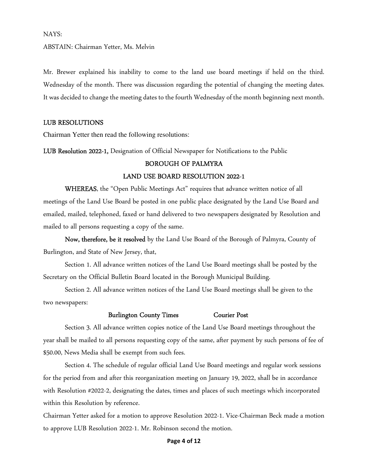#### NAYS:

ABSTAIN: Chairman Yetter, Ms. Melvin

Mr. Brewer explained his inability to come to the land use board meetings if held on the third. Wednesday of the month. There was discussion regarding the potential of changing the meeting dates. It was decided to change the meeting dates to the fourth Wednesday of the month beginning next month.

#### LUB RESOLUTIONS

Chairman Yetter then read the following resolutions:

LUB Resolution 2022-1, Designation of Official Newspaper for Notifications to the Public

#### BOROUGH OF PALMYRA

#### LAND USE BOARD RESOLUTION 2022-1

WHEREAS, the "Open Public Meetings Act" requires that advance written notice of all meetings of the Land Use Board be posted in one public place designated by the Land Use Board and emailed, mailed, telephoned, faxed or hand delivered to two newspapers designated by Resolution and mailed to all persons requesting a copy of the same.

Now, therefore, be it resolved by the Land Use Board of the Borough of Palmyra, County of Burlington, and State of New Jersey, that,

Section 1. All advance written notices of the Land Use Board meetings shall be posted by the Secretary on the Official Bulletin Board located in the Borough Municipal Building.

Section 2. All advance written notices of the Land Use Board meetings shall be given to the two newspapers:

#### Burlington County Times Courier Post

Section 3. All advance written copies notice of the Land Use Board meetings throughout the year shall be mailed to all persons requesting copy of the same, after payment by such persons of fee of \$50.00, News Media shall be exempt from such fees.

Section 4. The schedule of regular official Land Use Board meetings and regular work sessions for the period from and after this reorganization meeting on January 19, 2022, shall be in accordance with Resolution #2022-2, designating the dates, times and places of such meetings which incorporated within this Resolution by reference.

Chairman Yetter asked for a motion to approve Resolution 2022-1. Vice-Chairman Beck made a motion to approve LUB Resolution 2022-1. Mr. Robinson second the motion.

#### **Page 4 of 12**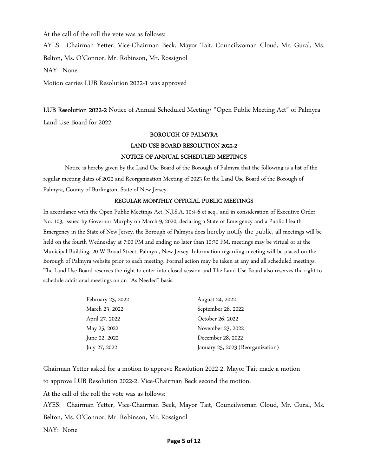At the call of the roll the vote was as follows:

AYES: Chairman Yetter, Vice-Chairman Beck, Mayor Tait, Councilwoman Cloud, Mr. Gural, Ms. Belton, Ms. O'Connor, Mr. Robinson, Mr. Rossignol NAY: None

Motion carries LUB Resolution 2022-1 was approved

LUB Resolution 2022-2 Notice of Annual Scheduled Meeting/ "Open Public Meeting Act" of Palmyra Land Use Board for 2022

## BOROUGH OF PALMYRA LAND USE BOARD RESOLUTION 2022-2 NOTICE OF ANNUAL SCHEDULED MEETINGS

Notice is hereby given by the Land Use Board of the Borough of Palmyra that the following is a list of the regular meeting dates of 2022 and Reorganization Meeting of 2023 for the Land Use Board of the Borough of Palmyra, County of Burlington, State of New Jersey.

#### REGULAR MONTHLY OFFICIAL PUBLIC MEETINGS

In accordance with the Open Public Meetings Act, N.J.S.A. 10:4-6 et seq., and in consideration of Executive Order No. 103, issued by Governor Murphy on March 9, 2020, declaring a State of Emergency and a Public Health Emergency in the State of New Jersey, the Borough of Palmyra does hereby notify the public, all meetings will be held on the fourth Wednesday at 7:00 PM and ending no later than 10:30 PM, meetings may be virtual or at the Municipal Building, 20 W Broad Street, Palmyra, New Jersey. Information regarding meeting will be placed on the Borough of Palmyra website prior to each meeting. Formal action may be taken at any and all scheduled meetings. The Land Use Board reserves the right to enter into closed session and The Land Use Board also reserves the right to schedule additional meetings on an "As Needed" basis.

| February 23, 2022 | August 24, 2022                   |
|-------------------|-----------------------------------|
| March 23, 2022    | September 28, 2022                |
| April 27, 2022    | October 26, 2022                  |
| May 25, 2022      | November 23, 2022                 |
| June 22, 2022     | December 28, 2022                 |
| July 27, 2022     | January 25, 2023 (Reorganization) |

Chairman Yetter asked for a motion to approve Resolution 2022-2. Mayor Tait made a motion to approve LUB Resolution 2022-2. Vice-Chairman Beck second the motion.

At the call of the roll the vote was as follows:

AYES: Chairman Yetter, Vice-Chairman Beck, Mayor Tait, Councilwoman Cloud, Mr. Gural, Ms.

Belton, Ms. O'Connor, Mr. Robinson, Mr. Rossignol

NAY: None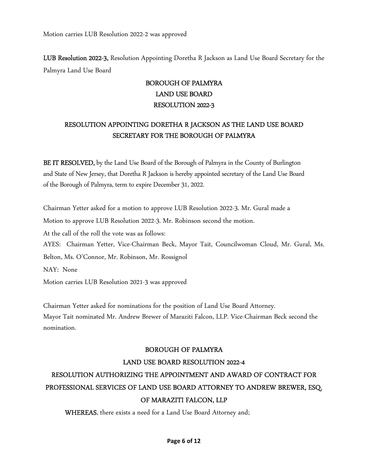LUB Resolution 2022-3, Resolution Appointing Doretha R Jackson as Land Use Board Secretary for the Palmyra Land Use Board

## BOROUGH OF PALMYRA LAND USE BOARD RESOLUTION 2022-3

## RESOLUTION APPOINTING DORETHA R JACKSON AS THE LAND USE BOARD SECRETARY FOR THE BOROUGH OF PALMYRA

BE IT RESOLVED, by the Land Use Board of the Borough of Palmyra in the County of Burlington and State of New Jersey, that Doretha R Jackson is hereby appointed secretary of the Land Use Board of the Borough of Palmyra, term to expire December 31, 2022.

Chairman Yetter asked for a motion to approve LUB Resolution 2022-3. Mr. Gural made a Motion to approve LUB Resolution 2022-3. Mr. Robinson second the motion. At the call of the roll the vote was as follows: AYES: Chairman Yetter, Vice-Chairman Beck, Mayor Tait, Councilwoman Cloud, Mr. Gural, Ms. Belton, Ms. O'Connor, Mr. Robinson, Mr. Rossignol NAY: None Motion carries LUB Resolution 2021-3 was approved

Chairman Yetter asked for nominations for the position of Land Use Board Attorney. Mayor Tait nominated Mr. Andrew Brewer of Maraziti Falcon, LLP. Vice-Chairman Beck second the nomination.

## BOROUGH OF PALMYRA

## LAND USE BOARD RESOLUTION 2022-4

# RESOLUTION AUTHORIZING THE APPOINTMENT AND AWARD OF CONTRACT FOR PROFESSIONAL SERVICES OF LAND USE BOARD ATTORNEY TO ANDREW BREWER, ESQ. OF MARAZITI FALCON, LLP

WHEREAS, there exists a need for a Land Use Board Attorney and;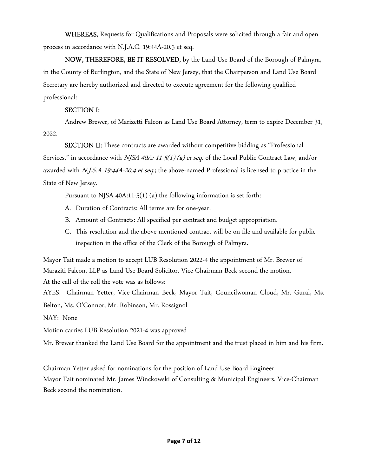WHEREAS, Requests for Qualifications and Proposals were solicited through a fair and open process in accordance with N.J.A.C. 19:44A-20.5 et seq.

NOW, THEREFORE, BE IT RESOLVED, by the Land Use Board of the Borough of Palmyra, in the County of Burlington, and the State of New Jersey, that the Chairperson and Land Use Board Secretary are hereby authorized and directed to execute agreement for the following qualified professional:

## SECTION I:

 Andrew Brewer, of Marizetti Falcon as Land Use Board Attorney, term to expire December 31, 2022.

SECTION II: These contracts are awarded without competitive bidding as "Professional Services," in accordance with *NJSA 40A: 11-5(1) (a) et seq.* of the Local Public Contract Law, and/or awarded with N.J.S.A 19:44A-20.4 et seq.; the above-named Professional is licensed to practice in the State of New Jersey.

Pursuant to NJSA 40A:11-5(1) (a) the following information is set forth:

- A. Duration of Contracts: All terms are for one-year.
- B. Amount of Contracts: All specified per contract and budget appropriation.
- C. This resolution and the above-mentioned contract will be on file and available for public inspection in the office of the Clerk of the Borough of Palmyra.

Mayor Tait made a motion to accept LUB Resolution 2022-4 the appointment of Mr. Brewer of Maraziti Falcon, LLP as Land Use Board Solicitor. Vice-Chairman Beck second the motion. At the call of the roll the vote was as follows:

AYES: Chairman Yetter, Vice-Chairman Beck, Mayor Tait, Councilwoman Cloud, Mr. Gural, Ms. Belton, Ms. O'Connor, Mr. Robinson, Mr. Rossignol

NAY: None

Motion carries LUB Resolution 2021-4 was approved

Mr. Brewer thanked the Land Use Board for the appointment and the trust placed in him and his firm.

Chairman Yetter asked for nominations for the position of Land Use Board Engineer. Mayor Tait nominated Mr. James Winckowski of Consulting & Municipal Engineers. Vice-Chairman Beck second the nomination.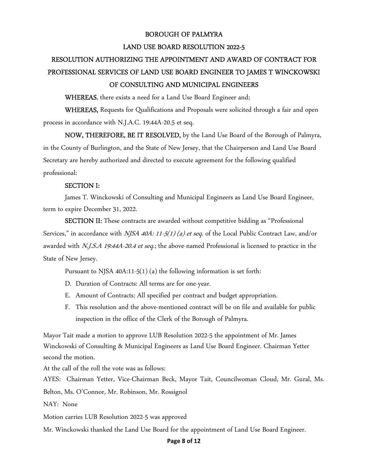#### BOROUGH OF PALMYRA

#### LAND USE BOARD RESOLUTION 2022-5

# RESOLUTION AUTHORIZING THE APPOINTMENT AND AWARD OF CONTRACT FOR PROFESSIONAL SERVICES OF LAND USE BOARD ENGINEER TO JAMES T WINCKOWSKI OF CONSULTING AND MUNICIPAL ENGINEERS

WHEREAS, there exists a need for a Land Use Board Engineer and;

WHEREAS, Requests for Qualifications and Proposals were solicited through a fair and open process in accordance with N.J.A.C. 19:44A-20.5 et seq.

NOW, THEREFORE, BE IT RESOLVED, by the Land Use Board of the Borough of Palmyra, in the County of Burlington, and the State of New Jersey, that the Chairperson and Land Use Board Secretary are hereby authorized and directed to execute agreement for the following qualified professional:

#### SECTION I:

 James T. Winckowski of Consulting and Municipal Engineers as Land Use Board Engineer, term to expire December 31, 2022.

SECTION II: These contracts are awarded without competitive bidding as "Professional Services," in accordance with *NJSA 40A: 11-5(1) (a) et seq.* of the Local Public Contract Law, and/or awarded with N.J.S.A 19:44A-20.4 et seq.; the above-named Professional is licensed to practice in the State of New Jersey.

Pursuant to NJSA 40A:11-5(1) (a) the following information is set forth:

- D. Duration of Contracts: All terms are for one-year.
- E. Amount of Contracts: All specified per contract and budget appropriation.
- F. This resolution and the above-mentioned contract will be on file and available for public inspection in the office of the Clerk of the Borough of Palmyra.

Mayor Tait made a motion to approve LUB Resolution 2022-5 the appointment of Mr. James Winckowski of Consulting & Municipal Engineers as Land Use Board Engineer. Chairman Yetter second the motion.

At the call of the roll the vote was as follows:

AYES: Chairman Yetter, Vice-Chairman Beck, Mayor Tait, Councilwoman Cloud, Mr. Gural, Ms. Belton, Ms. O'Connor, Mr. Robinson, Mr. Rossignol

NAY: None

Motion carries LUB Resolution 2022-5 was approved

Mr. Winckowski thanked the Land Use Board for the appointment of Land Use Board Engineer.

#### **Page 8 of 12**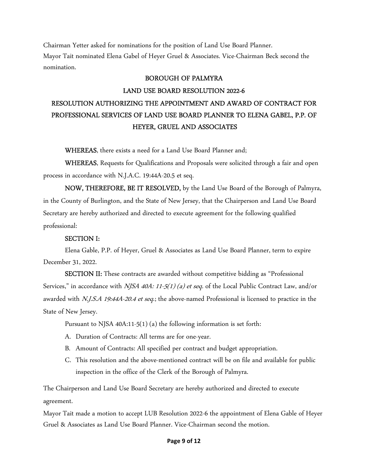Chairman Yetter asked for nominations for the position of Land Use Board Planner. Mayor Tait nominated Elena Gabel of Heyer Gruel & Associates. Vice-Chairman Beck second the nomination.

#### BOROUGH OF PALMYRA

#### LAND USE BOARD RESOLUTION 2022-6

# RESOLUTION AUTHORIZING THE APPOINTMENT AND AWARD OF CONTRACT FOR PROFESSIONAL SERVICES OF LAND USE BOARD PLANNER TO ELENA GABEL, P.P. OF HEYER, GRUEL AND ASSOCIATES

WHEREAS, there exists a need for a Land Use Board Planner and;

WHEREAS, Requests for Qualifications and Proposals were solicited through a fair and open process in accordance with N.J.A.C. 19:44A-20.5 et seq.

NOW, THEREFORE, BE IT RESOLVED, by the Land Use Board of the Borough of Palmyra, in the County of Burlington, and the State of New Jersey, that the Chairperson and Land Use Board Secretary are hereby authorized and directed to execute agreement for the following qualified professional:

#### SECTION I:

 Elena Gable, P.P. of Heyer, Gruel & Associates as Land Use Board Planner, term to expire December 31, 2022.

SECTION II: These contracts are awarded without competitive bidding as "Professional Services," in accordance with *NJSA 40A: 11-5(1) (a) et seq.* of the Local Public Contract Law, and/or awarded with N.J.S.A 19:44A-20.4 et seq.; the above-named Professional is licensed to practice in the State of New Jersey.

Pursuant to NJSA 40A:11-5(1) (a) the following information is set forth:

- A. Duration of Contracts: All terms are for one-year.
- B. Amount of Contracts: All specified per contract and budget appropriation.
- C. This resolution and the above-mentioned contract will be on file and available for public inspection in the office of the Clerk of the Borough of Palmyra.

The Chairperson and Land Use Board Secretary are hereby authorized and directed to execute agreement.

Mayor Tait made a motion to accept LUB Resolution 2022-6 the appointment of Elena Gable of Heyer Gruel & Associates as Land Use Board Planner. Vice-Chairman second the motion.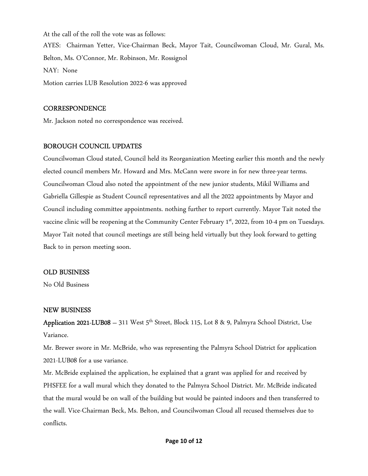At the call of the roll the vote was as follows: AYES: Chairman Yetter, Vice-Chairman Beck, Mayor Tait, Councilwoman Cloud, Mr. Gural, Ms. Belton, Ms. O'Connor, Mr. Robinson, Mr. Rossignol NAY: None Motion carries LUB Resolution 2022-6 was approved

### **CORRESPONDENCE**

Mr. Jackson noted no correspondence was received.

## BOROUGH COUNCIL UPDATES

Councilwoman Cloud stated, Council held its Reorganization Meeting earlier this month and the newly elected council members Mr. Howard and Mrs. McCann were swore in for new three-year terms. Councilwoman Cloud also noted the appointment of the new junior students, Mikil Williams and Gabriella Gillespie as Student Council representatives and all the 2022 appointments by Mayor and Council including committee appointments. nothing further to report currently. Mayor Tait noted the vaccine clinic will be reopening at the Community Center February 1<sup>st</sup>, 2022, from 10-4 pm on Tuesdays. Mayor Tait noted that council meetings are still being held virtually but they look forward to getting Back to in person meeting soon.

## OLD BUSINESS

No Old Business

### NEW BUSINESS

Application 2021-LUB08 – 311 West  $5^{th}$  Street, Block 115, Lot 8 & 9, Palmyra School District, Use Variance.

Mr. Brewer swore in Mr. McBride, who was representing the Palmyra School District for application 2021-LUB08 for a use variance.

Mr. McBride explained the application, he explained that a grant was applied for and received by PHSFEE for a wall mural which they donated to the Palmyra School District. Mr. McBride indicated that the mural would be on wall of the building but would be painted indoors and then transferred to the wall. Vice-Chairman Beck, Ms. Belton, and Councilwoman Cloud all recused themselves due to conflicts.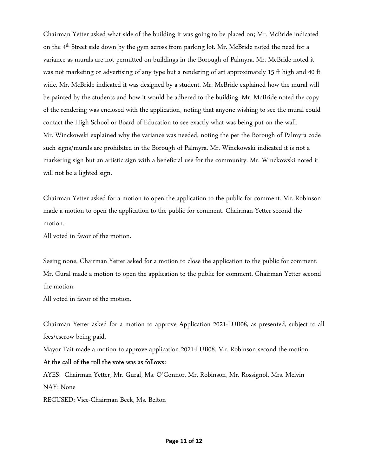Chairman Yetter asked what side of the building it was going to be placed on; Mr. McBride indicated on the 4<sup>th</sup> Street side down by the gym across from parking lot. Mr. McBride noted the need for a variance as murals are not permitted on buildings in the Borough of Palmyra. Mr. McBride noted it was not marketing or advertising of any type but a rendering of art approximately 15 ft high and 40 ft wide. Mr. McBride indicated it was designed by a student. Mr. McBride explained how the mural will be painted by the students and how it would be adhered to the building. Mr. McBride noted the copy of the rendering was enclosed with the application, noting that anyone wishing to see the mural could contact the High School or Board of Education to see exactly what was being put on the wall. Mr. Winckowski explained why the variance was needed, noting the per the Borough of Palmyra code such signs/murals are prohibited in the Borough of Palmyra. Mr. Winckowski indicated it is not a marketing sign but an artistic sign with a beneficial use for the community. Mr. Winckowski noted it will not be a lighted sign.

Chairman Yetter asked for a motion to open the application to the public for comment. Mr. Robinson made a motion to open the application to the public for comment. Chairman Yetter second the motion.

All voted in favor of the motion.

Seeing none, Chairman Yetter asked for a motion to close the application to the public for comment. Mr. Gural made a motion to open the application to the public for comment. Chairman Yetter second the motion.

All voted in favor of the motion.

Chairman Yetter asked for a motion to approve Application 2021-LUB08, as presented, subject to all fees/escrow being paid.

Mayor Tait made a motion to approve application 2021-LUB08. Mr. Robinson second the motion.

### At the call of the roll the vote was as follows:

AYES: Chairman Yetter, Mr. Gural, Ms. O'Connor, Mr. Robinson, Mr. Rossignol, Mrs. Melvin NAY: None

RECUSED: Vice-Chairman Beck, Ms. Belton